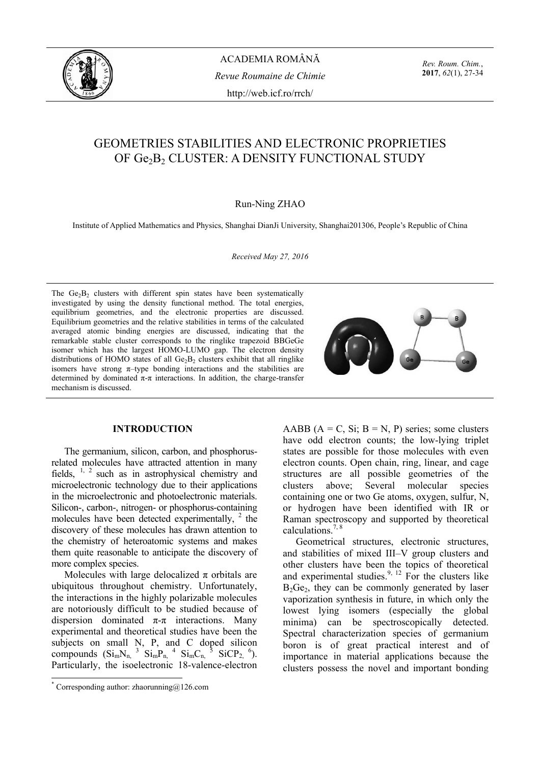

ACADEMIA ROMÂNĂ *Revue Roumaine de Chimie*  http://web.icf.ro/rrch/

*Rev. Roum. Chim.*, **2017**, *62*(1), 27-34

# GEOMETRIES STABILITIES AND ELECTRONIC PROPRIETIES OF Ge<sub>2</sub>B<sub>2</sub> CLUSTER: A DENSITY FUNCTIONAL STUDY

### Run-Ning ZHAO

Institute of Applied Mathematics and Physics, Shanghai DianJi University, Shanghai201306, People's Republic of China

*Received May 27, 2016* 

The  $Ge_2B_2$  clusters with different spin states have been systematically investigated by using the density functional method. The total energies, equilibrium geometries, and the electronic properties are discussed. Equilibrium geometries and the relative stabilities in terms of the calculated averaged atomic binding energies are discussed, indicating that the remarkable stable cluster corresponds to the ringlike trapezoid BBGeGe isomer which has the largest HOMO-LUMO gap. The electron density distributions of HOMO states of all  $Ge_2B_2$  clusters exhibit that all ringlike isomers have strong  $\pi$ -type bonding interactions and the stabilities are determined by dominated  $\pi$ - $\pi$  interactions. In addition, the charge-transfer mechanism is discussed.

### **INTRODUCTION\***

The germanium, silicon, carbon, and phosphorusrelated molecules have attracted attention in many fields,  $\frac{1}{2}$  such as in astrophysical chemistry and microelectronic technology due to their applications in the microelectronic and photoelectronic materials. Silicon-, carbon-, nitrogen- or phosphorus-containing molecules have been detected experimentally,  $2$  the discovery of these molecules has drawn attention to the chemistry of heteroatomic systems and makes them quite reasonable to anticipate the discovery of more complex species.

Molecules with large delocalized  $\pi$  orbitals are ubiquitous throughout chemistry. Unfortunately, the interactions in the highly polarizable molecules are notoriously difficult to be studied because of dispersion dominated  $\pi$ - $\pi$  interactions. Many experimental and theoretical studies have been the subjects on small N, P, and C doped silicon compounds  $(Si_mN_n^3 \nSi_mP_n^4 \nSi_mC_n^5 \nSiCP_2^6)$ . Particularly, the isoelectronic 18-valence-electron



AABB ( $A = C$ , Si;  $B = N$ , P) series; some clusters have odd electron counts; the low-lying triplet states are possible for those molecules with even electron counts. Open chain, ring, linear, and cage structures are all possible geometries of the clusters above; Several molecular species containing one or two Ge atoms, oxygen, sulfur, N, or hydrogen have been identified with IR or Raman spectroscopy and supported by theoretical calculations.7, 8

Geometrical structures, electronic structures, and stabilities of mixed III–V group clusters and other clusters have been the topics of theoretical and experimental studies. $9, 12$  For the clusters like  $B_2Ge_2$ , they can be commonly generated by laser vaporization synthesis in future, in which only the lowest lying isomers (especially the global minima) can be spectroscopically detected. Spectral characterization species of germanium boron is of great practical interest and of importance in material applications because the clusters possess the novel and important bonding

 \* Corresponding author: zhaorunning@126.com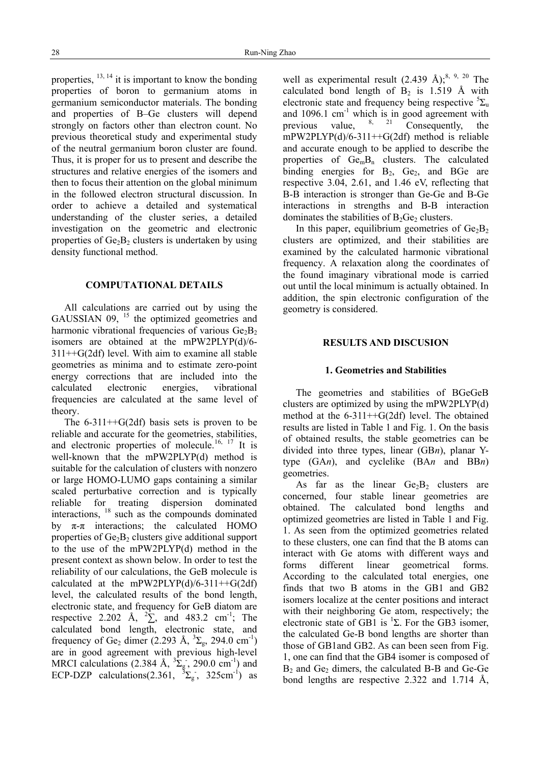properties,  $\frac{13, 14}{11}$  it is important to know the bonding properties of boron to germanium atoms in germanium semiconductor materials. The bonding and properties of B–Ge clusters will depend strongly on factors other than electron count. No previous theoretical study and experimental study of the neutral germanium boron cluster are found. Thus, it is proper for us to present and describe the structures and relative energies of the isomers and then to focus their attention on the global minimum in the followed electron structural discussion. In order to achieve a detailed and systematical understanding of the cluster series, a detailed investigation on the geometric and electronic properties of  $Ge_2B_2$  clusters is undertaken by using density functional method.

### **COMPUTATIONAL DETAILS**

All calculations are carried out by using the GAUSSIAN  $09$ , <sup>15</sup> the optimized geometries and harmonic vibrational frequencies of various  $Ge_2B_2$ isomers are obtained at the mPW2PLYP(d)/6-  $311++G(2df)$  level. With aim to examine all stable geometries as minima and to estimate zero-point energy corrections that are included into the calculated electronic energies, vibrational frequencies are calculated at the same level of theory.

The  $6-311++G(2df)$  basis sets is proven to be reliable and accurate for the geometries, stabilities, and electronic properties of molecule.<sup>16, 17</sup> It is well-known that the mPW2PLYP(d) method is suitable for the calculation of clusters with nonzero or large HOMO-LUMO gaps containing a similar scaled perturbative correction and is typically reliable for treating dispersion dominated interactions, 18 such as the compounds dominated by  $\pi$ - $\pi$  interactions; the calculated HOMO properties of  $Ge_2B_2$  clusters give additional support to the use of the mPW2PLYP(d) method in the present context as shown below. In order to test the reliability of our calculations, the GeB molecule is calculated at the mPW2PLYP(d)/6-311++ $G(2df)$ level, the calculated results of the bond length, electronic state, and frequency for GeB diatom are respective 2.202 Å,  ${}^{2}\Sigma$ , and 483.2 cm<sup>-1</sup>; The calculated bond length, electronic state, and frequency of Ge<sub>2</sub> dimer (2.293 Å, <sup>3</sup> $\Sigma_g$ , 294.0 cm<sup>-1</sup>) are in good agreement with previous high-level MRCI calculations (2.384 Å,  ${}^{3}\Sigma_{g}$ , 290.0 cm<sup>-1</sup>) and ECP-DZP calculations(2.361,  ${}^{3}\Sigma_{g}$ , 325cm<sup>-1</sup>) as well as experimental result  $(2.439 \text{ Å})$ ;<sup>8, 9, 20</sup> The calculated bond length of  $B_2$  is 1.519 Å with electronic state and frequency being respective  ${}^{5}\Sigma_{u}$ and 1096.1 cm<sup>-1</sup> which is in good agreement with<br>previous value  $\frac{8}{21}$  Consequently the previous value,  $8, 21$  Consequently, the mPW2PLYP(d)/6-311++G(2df) method is reliable and accurate enough to be applied to describe the properties of  $Ge_{m}B_{n}$  clusters. The calculated binding energies for  $B_2$ ,  $Ge_2$ , and BGe are respective 3.04, 2.61, and 1.46 eV, reflecting that B-B interaction is stronger than Ge-Ge and B-Ge interactions in strengths and B-B interaction dominates the stabilities of  $B_2Ge_2$  clusters.

In this paper, equilibrium geometries of  $Ge_2B_2$ clusters are optimized, and their stabilities are examined by the calculated harmonic vibrational frequency. A relaxation along the coordinates of the found imaginary vibrational mode is carried out until the local minimum is actually obtained. In addition, the spin electronic configuration of the geometry is considered.

## **RESULTS AND DISCUSION**

## **1. Geometries and Stabilities**

The geometries and stabilities of BGeGeB clusters are optimized by using the mPW2PLYP(d) method at the 6-311++G(2df) level. The obtained results are listed in Table 1 and Fig. 1. On the basis of obtained results, the stable geometries can be divided into three types, linear (GB*n*), planar Ytype (GA*n*), and cyclelike (BA*n* and BB*n*) geometries.

As far as the linear  $Ge_2B_2$  clusters are concerned, four stable linear geometries are obtained. The calculated bond lengths and optimized geometries are listed in Table 1 and Fig. 1. As seen from the optimized geometries related to these clusters, one can find that the B atoms can interact with Ge atoms with different ways and forms different linear geometrical forms. According to the calculated total energies, one finds that two B atoms in the GB1 and GB2 isomers localize at the center positions and interact with their neighboring Ge atom, respectively; the electronic state of GB1 is  ${}^{1}\Sigma$ . For the GB3 isomer, the calculated Ge-B bond lengths are shorter than those of GB1and GB2. As can been seen from Fig. 1, one can find that the GB4 isomer is composed of  $B_2$  and  $Ge_2$  dimers, the calculated B-B and  $Ge-Ge$ bond lengths are respective 2.322 and 1.714 Å,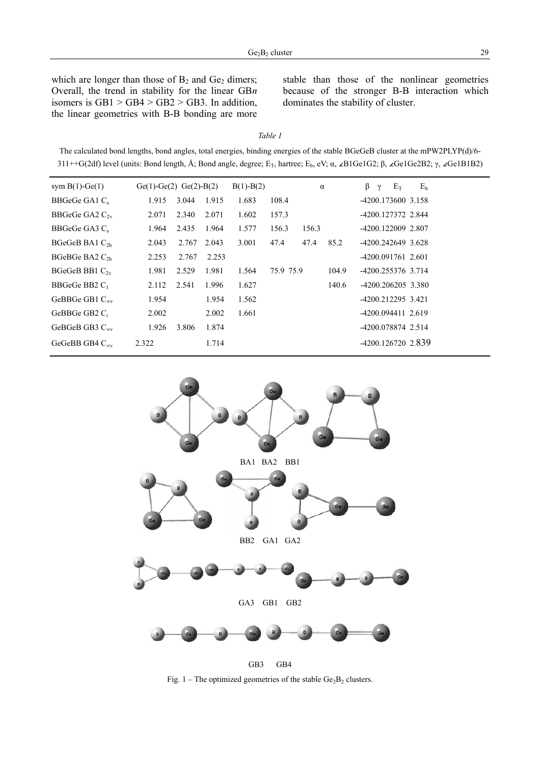which are longer than those of  $B_2$  and  $Ge_2$  dimers; Overall, the trend in stability for the linear GB*n* isomers is  $GB1 > GB4 > GB2 > GB3$ . In addition, the linear geometries with B-B bonding are more stable than those of the nonlinear geometries because of the stronger B-B interaction which dominates the stability of cluster.

|  | ,,, |  |
|--|-----|--|
|--|-----|--|

The calculated bond lengths, bond angles, total energies, binding energies of the stable BGeGeB cluster at the mPW2PLYP(d)/6- 311++G(2df) level (units: Bond length, Å; Bond angle, degree; E<sub>T</sub>, hartree; E<sub>b</sub>, eV; α, ∠B1Ge1G2; β, ∠Ge1Ge2B2; γ, ∠Ge1B1B2)

| sym $B(1)$ -Ge $(1)$        | Ge(1)-Ge(2) Ge(2)-B(2) |       |       | $B(1)-B(2)$ |           | $\alpha$ |       | β γ | $E_T$ | E <sub>b</sub>       |  |
|-----------------------------|------------------------|-------|-------|-------------|-----------|----------|-------|-----|-------|----------------------|--|
| BBGeGe GA1 C.               | 1.915                  | 3.044 | 1.915 | 1.683       | 108.4     |          |       |     |       | -4200.173600 3.158   |  |
| BBGeGe GA2 $C_{2v}$         | 2.071                  | 2.340 | 2.071 | 1.602       | 157.3     |          |       |     |       | -4200.127372 2.844   |  |
| BBGeGe GA3 C.               | 1.964                  | 2.435 | 1.964 | 1.577       | 156.3     | 156.3    |       |     |       | -4200.122009 2.807   |  |
| BGeGeB BAI C <sub>2h</sub>  | 2.043                  | 2.767 | 2.043 | 3.001       | 47.4      | 47.4     | 85.2  |     |       | $-4200.242649$ 3.628 |  |
| BGeBGe BA2 $C_{2h}$         | 2.253                  | 2.767 | 2.253 |             |           |          |       |     |       | -4200.091761 2.601   |  |
| BGeGeB BB1 $C_{2v}$         | 1.981                  | 2.529 | 1.981 | 1.564       | 75.9 75.9 |          | 104.9 |     |       | -4200.255376 3.714   |  |
| BBGeGe BB2 $C_1$            | 2.112                  | 2.541 | 1.996 | 1.627       |           |          | 140.6 |     |       | -4200.206205 3.380   |  |
| GeBBGe GB1 $C_{\text{cov}}$ | 1.954                  |       | 1.954 | 1.562       |           |          |       |     |       | -4200.212295 3.421   |  |
| GeBBGe GB2 $C_i$            | 2.002                  |       | 2.002 | 1.661       |           |          |       |     |       | $-4200.094411$ 2.619 |  |
| GeBGeB GB3 $C_{\text{cov}}$ | 1.926                  | 3.806 | 1.874 |             |           |          |       |     |       | -4200.078874 2.514   |  |
| GeGeBB GB4 $C_{\text{cov}}$ | 2.322                  |       | 1.714 |             |           |          |       |     |       | -4200.126720 2.839   |  |



Fig. 1 – The optimized geometries of the stable  $Ge_2B_2$  clusters.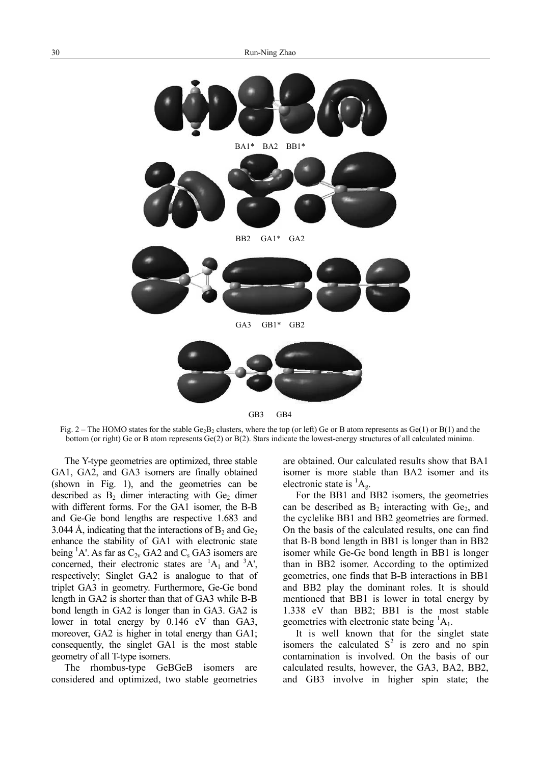

Fig. 2 – The HOMO states for the stable Ge<sub>2</sub>B<sub>2</sub> clusters, where the top (or left) Ge or B atom represents as Ge(1) or B(1) and the bottom (or right) Ge or B atom represents Ge(2) or B(2). Stars indicate the lowest-energy structures of all calculated minima.

The Y-type geometries are optimized, three stable GA1, GA2, and GA3 isomers are finally obtained (shown in Fig. 1), and the geometries can be described as  $B_2$  dimer interacting with  $Ge_2$  dimer with different forms. For the GA1 isomer, the B-B and Ge-Ge bond lengths are respective 1.683 and 3.044 Å, indicating that the interactions of  $B_2$  and  $Ge_2$ enhance the stability of GA1 with electronic state being  ${}^{1}$ A'. As far as  $C_{2v}$  GA2 and  $C_{s}$  GA3 isomers are concerned, their electronic states are  ${}^{1}A_{1}$  and  ${}^{3}A'$ , respectively; Singlet GA2 is analogue to that of triplet GA3 in geometry. Furthermore, Ge-Ge bond length in GA2 is shorter than that of GA3 while B-B bond length in GA2 is longer than in GA3. GA2 is lower in total energy by  $0.146$  eV than GA3, moreover, GA2 is higher in total energy than GA1; consequently, the singlet GA1 is the most stable geometry of all T-type isomers.

The rhombus-type GeBGeB isomers are considered and optimized, two stable geometries are obtained. Our calculated results show that BA1 isomer is more stable than BA2 isomer and its electronic state is  ${}^{1}A_{g}$ .

For the BB1 and BB2 isomers, the geometries can be described as  $B_2$  interacting with  $Ge_2$ , and the cyclelike BB1 and BB2 geometries are formed. On the basis of the calculated results, one can find that B-B bond length in BB1 is longer than in BB2 isomer while Ge-Ge bond length in BB1 is longer than in BB2 isomer. According to the optimized geometries, one finds that B-B interactions in BB1 and BB2 play the dominant roles. It is should mentioned that BB1 is lower in total energy by 1.338 eV than BB2; BB1 is the most stable geometries with electronic state being  ${}^{1}A_{1}$ .

It is well known that for the singlet state isomers the calculated  $S^2$  is zero and no spin contamination is involved. On the basis of our calculated results, however, the GA3, BA2, BB2, and GB3 involve in higher spin state; the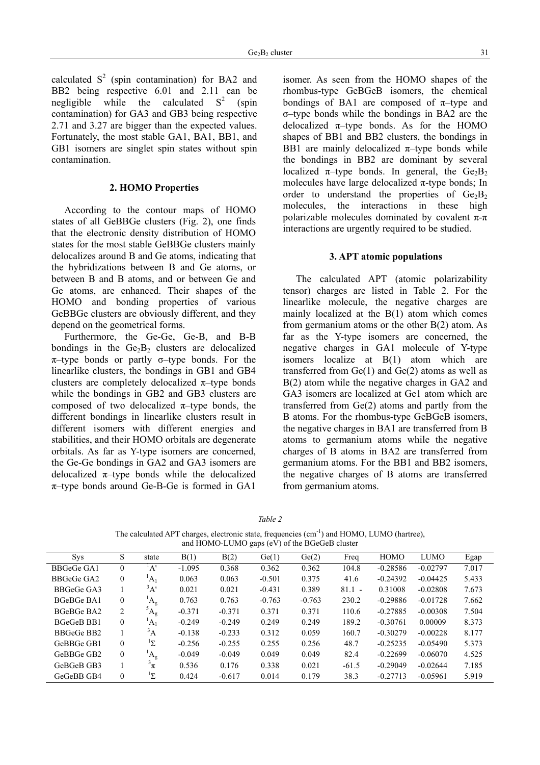calculated  $S^2$  (spin contamination) for BA2 and BB2 being respective 6.01 and 2.11 can be negligible while the calculated  $S^2$  (spin contamination) for GA3 and GB3 being respective 2.71 and 3.27 are bigger than the expected values. Fortunately, the most stable GA1, BA1, BB1, and GB1 isomers are singlet spin states without spin contamination.

### **2. HOMO Properties**

According to the contour maps of HOMO states of all GeBBGe clusters (Fig. 2), one finds that the electronic density distribution of HOMO states for the most stable GeBBGe clusters mainly delocalizes around B and Ge atoms, indicating that the hybridizations between B and Ge atoms, or between B and B atoms, and or between Ge and Ge atoms, are enhanced. Their shapes of the HOMO and bonding properties of various GeBBGe clusters are obviously different, and they depend on the geometrical forms.

Furthermore, the Ge-Ge, Ge-B, and B-B bondings in the  $Ge_2B_2$  clusters are delocalized  $\pi$ -type bonds or partly  $\sigma$ -type bonds. For the linearlike clusters, the bondings in GB1 and GB4 clusters are completely delocalized  $\pi$ -type bonds while the bondings in GB2 and GB3 clusters are composed of two delocalized  $\pi$ -type bonds, the different bondings in linearlike clusters result in different isomers with different energies and stabilities, and their HOMO orbitals are degenerate orbitals. As far as Y-type isomers are concerned, the Ge-Ge bondings in GA2 and GA3 isomers are delocalized  $\pi$ -type bonds while the delocalized  $\pi$ -type bonds around Ge-B-Ge is formed in GA1

isomer. As seen from the HOMO shapes of the rhombus-type GeBGeB isomers, the chemical bondings of BA1 are composed of  $\pi$ -type and σ–type bonds while the bondings in BA2 are the delocalized  $\pi$ -type bonds. As for the HOMO shapes of BB1 and BB2 clusters, the bondings in BB1 are mainly delocalized  $\pi$ -type bonds while the bondings in BB2 are dominant by several localized  $\pi$ -type bonds. In general, the Ge<sub>2</sub>B<sub>2</sub> molecules have large delocalized  $\pi$ -type bonds; In order to understand the properties of  $Ge_2B_2$ molecules, the interactions in these high polarizable molecules dominated by covalent  $\pi$ -π interactions are urgently required to be studied.

### **3. APT atomic populations**

The calculated APT (atomic polarizability tensor) charges are listed in Table 2. For the linearlike molecule, the negative charges are mainly localized at the B(1) atom which comes from germanium atoms or the other B(2) atom. As far as the Y-type isomers are concerned, the negative charges in GA1 molecule of Y-type isomers localize at B(1) atom which are transferred from  $Ge(1)$  and  $Ge(2)$  atoms as well as B(2) atom while the negative charges in GA2 and GA3 isomers are localized at Ge1 atom which are transferred from Ge(2) atoms and partly from the B atoms. For the rhombus-type GeBGeB isomers, the negative charges in BA1 are transferred from B atoms to germanium atoms while the negative charges of B atoms in BA2 are transferred from germanium atoms. For the BB1 and BB2 isomers, the negative charges of B atoms are transferred from germanium atoms.

*Table 2* 

The calculated APT charges, electronic state, frequencies (cm<sup>-1</sup>) and HOMO, LUMO (hartree), and  $HOMO-LUMO$  gaps  $(eV)$  of the  $BGeGeB$  cluster

| <b>Sys</b> | S            | state                 | B(1)     | B(2)     | Ge(1)    | Ge(2)    | Freq     | <b>HOMO</b> | <b>LUMO</b> | Egap  |
|------------|--------------|-----------------------|----------|----------|----------|----------|----------|-------------|-------------|-------|
| BBGeGe GA1 | $\theta$     | 'A'                   | $-1.095$ | 0.368    | 0.362    | 0.362    | 104.8    | $-0.28586$  | $-0.02797$  | 7.017 |
| BBGeGe GA2 | $\mathbf{0}$ | $A_1$                 | 0.063    | 0.063    | $-0.501$ | 0.375    | 41.6     | $-0.24392$  | $-0.04425$  | 5.433 |
| BBGeGe GA3 |              | $\mathbf{A}^{\prime}$ | 0.021    | 0.021    | $-0.431$ | 0.389    | $81.1 -$ | 0.31008     | $-0.02808$  | 7.673 |
| BGeBGe BA1 | $\mathbf{0}$ | $A_{\alpha}$          | 0.763    | 0.763    | $-0.763$ | $-0.763$ | 230.2    | $-0.29886$  | $-0.01728$  | 7.662 |
| BGeBGe BA2 | 2            | ${}^5A_g$             | $-0.371$ | $-0.371$ | 0.371    | 0.371    | 110.6    | $-0.27885$  | $-0.00308$  | 7.504 |
| BGeGeB BB1 | $\mathbf{0}$ | $A_1$                 | $-0.249$ | $-0.249$ | 0.249    | 0.249    | 189.2    | $-0.30761$  | 0.00009     | 8.373 |
| BBGeGe BB2 |              | $\mathcal{A}$         | $-0.138$ | $-0.233$ | 0.312    | 0.059    | 160.7    | $-0.30279$  | $-0.00228$  | 8.177 |
| GeBBGe GB1 | $\theta$     | $\sum$                | $-0.256$ | $-0.255$ | 0.255    | 0.256    | 48.7     | $-0.25235$  | $-0.05490$  | 5.373 |
| GeBBGe GB2 | $\theta$     | $A_{g}$               | $-0.049$ | $-0.049$ | 0.049    | 0.049    | 82.4     | $-0.22699$  | $-0.06070$  | 4.525 |
| GeBGeB GB3 |              | $3\pi$                | 0.536    | 0.176    | 0.338    | 0.021    | $-61.5$  | $-0.29049$  | $-0.02644$  | 7.185 |
| GeGeBB GB4 | $\theta$     | ŀΣ                    | 0.424    | $-0.617$ | 0.014    | 0.179    | 38.3     | $-0.27713$  | $-0.05961$  | 5.919 |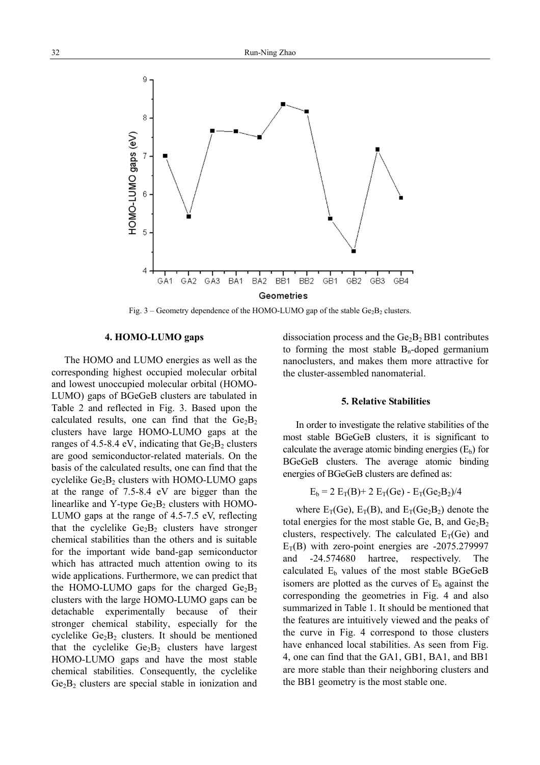

Fig. 3 – Geometry dependence of the HOMO-LUMO gap of the stable  $Ge_2B_2$  clusters.

### **4. HOMO-LUMO gaps**

The HOMO and LUMO energies as well as the corresponding highest occupied molecular orbital and lowest unoccupied molecular orbital (HOMO-LUMO) gaps of BGeGeB clusters are tabulated in Table 2 and reflected in Fig. 3. Based upon the calculated results, one can find that the  $Ge_2B_2$ clusters have large HOMO-LUMO gaps at the ranges of 4.5-8.4 eV, indicating that  $Ge_2B_2$  clusters are good semiconductor-related materials. On the basis of the calculated results, one can find that the cyclelike  $Ge_2B_2$  clusters with HOMO-LUMO gaps at the range of 7.5-8.4 eV are bigger than the linearlike and Y-type  $Ge_2B_2$  clusters with HOMO-LUMO gaps at the range of 4.5-7.5 eV, reflecting that the cyclelike  $Ge_2B_2$  clusters have stronger chemical stabilities than the others and is suitable for the important wide band-gap semiconductor which has attracted much attention owing to its wide applications. Furthermore, we can predict that the HOMO-LUMO gaps for the charged  $Ge_2B_2$ clusters with the large HOMO-LUMO gaps can be detachable experimentally because of their stronger chemical stability, especially for the cyclelike  $Ge_2B_2$  clusters. It should be mentioned that the cyclelike  $Ge_2B_2$  clusters have largest HOMO-LUMO gaps and have the most stable chemical stabilities. Consequently, the cyclelike  $Ge_2B_2$  clusters are special stable in ionization and

dissociation process and the  $Ge_2B_2BB1$  contributes to forming the most stable  $B_n$ -doped germanium nanoclusters, and makes them more attractive for the cluster-assembled nanomaterial.

#### **5. Relative Stabilities**

In order to investigate the relative stabilities of the most stable BGeGeB clusters, it is significant to calculate the average atomic binding energies  $(E_b)$  for BGeGeB clusters. The average atomic binding energies of BGeGeB clusters are defined as:

$$
E_b = 2 E_T(B) + 2 E_T(Ge) - E_T(Ge_2B_2)/4
$$

where  $E_T$ (Ge),  $E_T$ (B), and  $E_T$ (Ge<sub>2</sub>B<sub>2</sub>) denote the total energies for the most stable Ge, B, and  $Ge_2B_2$ clusters, respectively. The calculated  $E_T(Ge)$  and  $E_T(B)$  with zero-point energies are -2075.279997 and -24.574680 hartree, respectively. The calculated  $E<sub>b</sub>$  values of the most stable BGeGeB isomers are plotted as the curves of  $E<sub>b</sub>$  against the corresponding the geometries in Fig. 4 and also summarized in Table 1. It should be mentioned that the features are intuitively viewed and the peaks of the curve in Fig. 4 correspond to those clusters have enhanced local stabilities. As seen from Fig. 4, one can find that the GA1, GB1, BA1, and BB1 are more stable than their neighboring clusters and the BB1 geometry is the most stable one.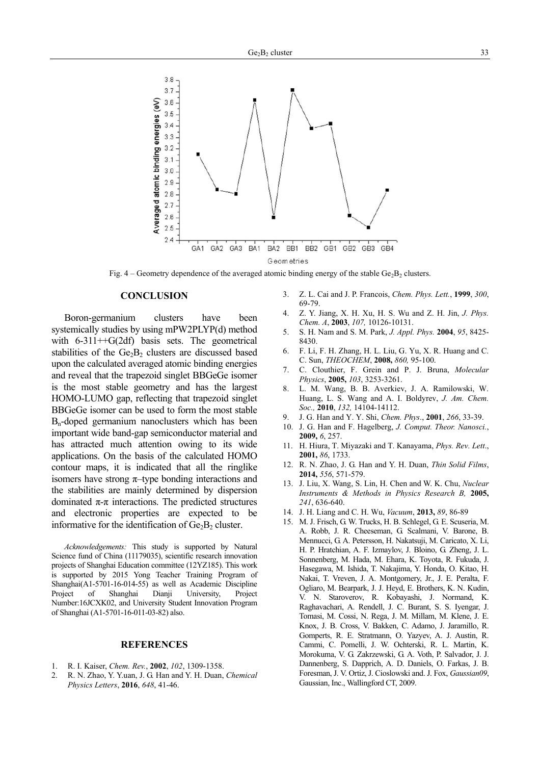

Fig.  $4 -$  Geometry dependence of the averaged atomic binding energy of the stable Ge<sub>2</sub>B<sub>2</sub> clusters.

#### **CONCLUSION**

Boron-germanium clusters have been systemically studies by using mPW2PLYP(d) method with  $6-311++G(2df)$  basis sets. The geometrical stabilities of the  $Ge_2B_2$  clusters are discussed based upon the calculated averaged atomic binding energies and reveal that the trapezoid singlet BBGeGe isomer is the most stable geometry and has the largest HOMO-LUMO gap, reflecting that trapezoid singlet BBGeGe isomer can be used to form the most stable Bn-doped germanium nanoclusters which has been important wide band-gap semiconductor material and has attracted much attention owing to its wide applications. On the basis of the calculated HOMO contour maps, it is indicated that all the ringlike isomers have strong  $\pi$ -type bonding interactions and the stabilities are mainly determined by dispersion dominated  $π$ -π interactions. The predicted structures and electronic properties are expected to be informative for the identification of  $Ge_2B_2$  cluster.

*Acknowledgements:* This study is supported by Natural Science fund of China (11179035), scientific research innovation projects of Shanghai Education committee (12YZ185). This work is supported by 2015 Yong Teacher Training Program of Shanghai(A1-5701-16-014-55) as well as Academic Discipline Project of Shanghai Dianji University, Project Number:16JCXK02, and University Student Innovation Program of Shanghai (A1-5701-16-011-03-82) also.

#### **REFERENCES**

- 1. R. I. Kaiser, *Chem. Rev.*, **2002**, *102*, 1309-1358.
- 2. R. N. Zhao, Y. Y.uan, J. G. Han and Y. H. Duan, *Chemical Physics Letters*, **2016**, *648*, 41-46.
- 3. Z. L. Cai and J. P. Francois, *Chem. Phys. Lett.*, **1999**, *300*, 69-79.
- 4. Z. Y. Jiang, X. H. Xu, H. S. Wu and Z. H. Jin, *J. Phys. Chem. A*, **2003**, *107,* 10126-10131.
- 5. S. H. Nam and S. M. Park, *J. Appl. Phys.* **2004**, *95*, 8425- 8430.
- 6. F. Li, F. H. Zhang, H. L. Liu, G. Yu, X. R. Huang and C. C. Sun, *THEOCHEM*, **2008,** *860,* 95-100.
- 7. C. Clouthier, F. Grein and P. J. Bruna, *Molecular Physics*, **2005,** *103*, 3253-3261.
- 8. L. M. Wang, B. B. Averkiev, J. A. Ramilowski, W. Huang, L. S. Wang and A. I. Boldyrev, *J. Am. Chem. Soc.,* **2010**, *132,* 14104-14112.
- 9. J. G. Han and Y. Y. Shi, *Chem. Phys*., **2001**, *266*, 33-39.
- 10. J. G. Han and F. Hagelberg, *J. Comput. Theor. Nanosci.*, **2009,** *6*, 257.
- 11. H. Hiura, T. Miyazaki and T. Kanayama, *Phys. Rev. Lett*., **2001,** *86*, 1733.
- 12. R. N. Zhao, J. G. Han and Y. H. Duan, *Thin Solid Films*, **2014,** *556*, 571-579.
- 13. J. Liu, X. Wang, S. Lin, H. Chen and W. K. Chu, *Nuclear Instruments & Methods in Physics Research B,* **2005,**  *241*, 636-640.
- 14. J. H. Liang and C. H. Wu, *Vacuum*, **2013,** *89*, 86-89
- 15. M. J. Frisch, G. W. Trucks, H. B. Schlegel, G. E. Scuseria, M. A. Robb, J. R. Cheeseman, G. Scalmani, V. Barone, B. Mennucci, G. A. Petersson, H. Nakatsuji, M. Caricato, X. Li, H. P. Hratchian, A. F. Izmaylov, J. Bloino, G. Zheng, J. L. Sonnenberg, M. Hada, M. Ehara, K. Toyota, R. Fukuda, J. Hasegawa, M. Ishida, T. Nakajima, Y. Honda, O. Kitao, H. Nakai, T. Vreven, J. A. Montgomery, Jr., J. E. Peralta, F. Ogliaro, M. Bearpark, J. J. Heyd, E. Brothers, K. N. Kudin, V. N. Staroverov, R. Kobayashi, J. Normand, K. Raghavachari, A. Rendell, J. C. Burant, S. S. Iyengar, J. Tomasi, M. Cossi, N. Rega, J. M. Millam, M. Klene, J. E. Knox, J. B. Cross, V. Bakken, C. Adamo, J. Jaramillo, R. Gomperts, R. E. Stratmann, O. Yazyev, A. J. Austin, R. Cammi, C. Pomelli, J. W. Ochterski, R. L. Martin, K. Morokuma, V. G. Zakrzewski, G. A. Voth, P. Salvador, J. J. Dannenberg, S. Dapprich, A. D. Daniels, O. Farkas, J. B. Foresman, J. V. Ortiz, J. Cioslowski and. J. Fox, *Gaussian09*, Gaussian, Inc., Wallingford CT, 2009.